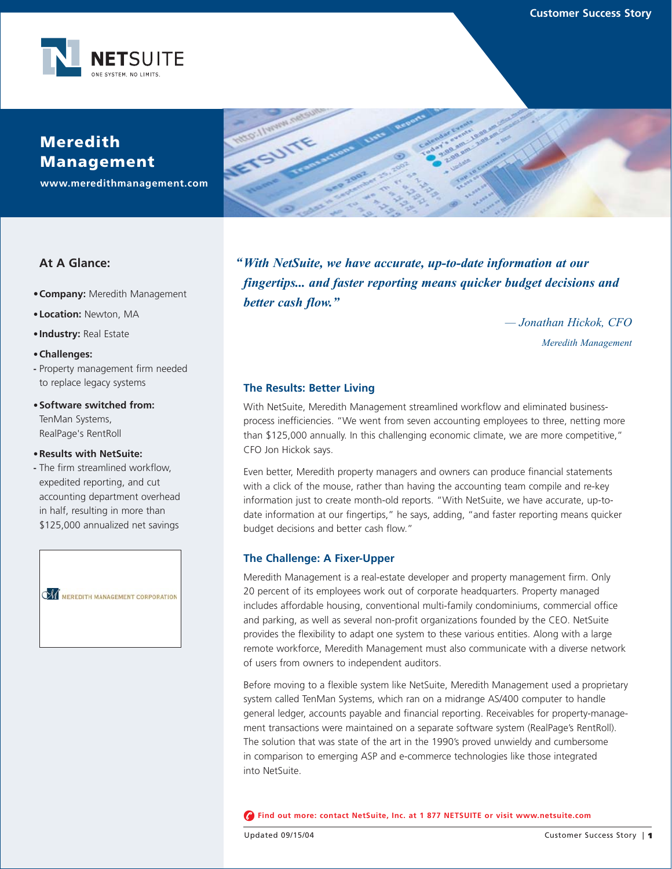

# **Meredith Management**

**www.meredithmanagement.com**

## **At A Glance:**

- **•Company:** Meredith Management
- **• Location:** Newton, MA
- **• Industry:** Real Estate

#### **•Challenges:**

- **-** Property management firm needed to replace legacy systems
- **•Software switched from:** TenMan Systems, RealPage's RentRoll

#### **•Results with NetSuite:**

**-** The firm streamlined workflow, expedited reporting, and cut accounting department overhead in half, resulting in more than \$125,000 annualized net savings



"With NetSuite, we have accurate, up-to-date information at our *fingertips... and faster reporting means quicker budget decisions and better cash flow."*

> *— Jonathan Hickok, CFO Meredith Management*

## **The Results: Better Living**

METSUITE

With NetSuite, Meredith Management streamlined workflow and eliminated businessprocess inefficiencies. "We went from seven accounting employees to three, netting more than \$125,000 annually. In this challenging economic climate, we are more competitive," CFO Jon Hickok says.

Even better, Meredith property managers and owners can produce financial statements with a click of the mouse, rather than having the accounting team compile and re-key information just to create month-old reports. "With NetSuite, we have accurate, up-todate information at our fingertips," he says, adding, "and faster reporting means quicker budget decisions and better cash flow."

## **The Challenge: A Fixer-Upper**

Meredith Management is a real-estate developer and property management firm. Only 20 percent of its employees work out of corporate headquarters. Property managed includes affordable housing, conventional multi-family condominiums, commercial office and parking, as well as several non-profit organizations founded by the CEO. NetSuite provides the flexibility to adapt one system to these various entities. Along with a large remote workforce, Meredith Management must also communicate with a diverse network of users from owners to independent auditors.

Before moving to a flexible system like NetSuite, Meredith Management used a proprietary system called TenMan Systems, which ran on a midrange AS/400 computer to handle general ledger, accounts payable and financial reporting. Receivables for property-management transactions were maintained on a separate software system (RealPage's RentRoll). The solution that was state of the art in the 1990's proved unwieldy and cumbersome in comparison to emerging ASP and e-commerce technologies like those integrated into NetSuite.

**Find out more: contact NetSuite, Inc. at 1 877 NETSUITE or visit www.netsuite.com**